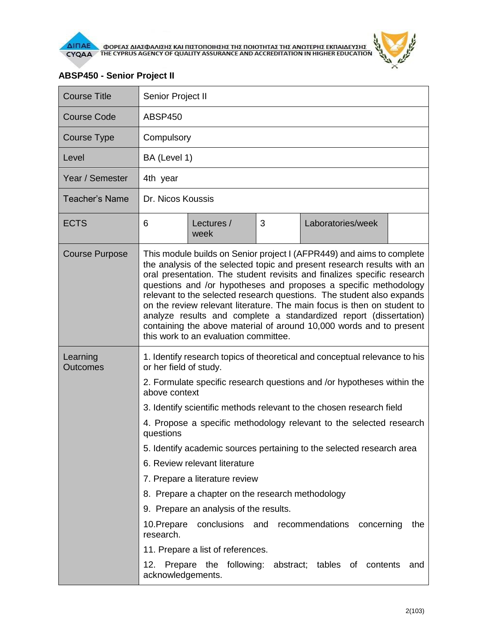

## **ABSP450 - Senior Project II**

Н

| <b>Course Title</b>         | Senior Project II                                                                                                                                                                                                                                                                                                                                                                                                                                                                                                                                                                                                                                                                                                              |                    |   |                                                     |     |  |  |  |
|-----------------------------|--------------------------------------------------------------------------------------------------------------------------------------------------------------------------------------------------------------------------------------------------------------------------------------------------------------------------------------------------------------------------------------------------------------------------------------------------------------------------------------------------------------------------------------------------------------------------------------------------------------------------------------------------------------------------------------------------------------------------------|--------------------|---|-----------------------------------------------------|-----|--|--|--|
| <b>Course Code</b>          | ABSP450                                                                                                                                                                                                                                                                                                                                                                                                                                                                                                                                                                                                                                                                                                                        |                    |   |                                                     |     |  |  |  |
| Course Type                 | Compulsory                                                                                                                                                                                                                                                                                                                                                                                                                                                                                                                                                                                                                                                                                                                     |                    |   |                                                     |     |  |  |  |
| Level                       |                                                                                                                                                                                                                                                                                                                                                                                                                                                                                                                                                                                                                                                                                                                                | BA (Level 1)       |   |                                                     |     |  |  |  |
| Year / Semester             | 4th year                                                                                                                                                                                                                                                                                                                                                                                                                                                                                                                                                                                                                                                                                                                       |                    |   |                                                     |     |  |  |  |
| <b>Teacher's Name</b>       | Dr. Nicos Koussis                                                                                                                                                                                                                                                                                                                                                                                                                                                                                                                                                                                                                                                                                                              |                    |   |                                                     |     |  |  |  |
| <b>ECTS</b>                 | 6                                                                                                                                                                                                                                                                                                                                                                                                                                                                                                                                                                                                                                                                                                                              | Lectures /<br>week | 3 | Laboratories/week                                   |     |  |  |  |
| <b>Course Purpose</b>       | This module builds on Senior project I (AFPR449) and aims to complete<br>the analysis of the selected topic and present research results with an<br>oral presentation. The student revisits and finalizes specific research<br>questions and /or hypotheses and proposes a specific methodology<br>relevant to the selected research questions. The student also expands<br>on the review relevant literature. The main focus is then on student to<br>analyze results and complete a standardized report (dissertation)<br>containing the above material of around 10,000 words and to present<br>this work to an evaluation committee.                                                                                       |                    |   |                                                     |     |  |  |  |
| Learning<br><b>Outcomes</b> | 1. Identify research topics of theoretical and conceptual relevance to his<br>or her field of study.<br>2. Formulate specific research questions and /or hypotheses within the<br>above context<br>3. Identify scientific methods relevant to the chosen research field<br>4. Propose a specific methodology relevant to the selected research<br>questions<br>5. Identify academic sources pertaining to the selected research area<br>6. Review relevant literature<br>7. Prepare a literature review<br>8. Prepare a chapter on the research methodology<br>9. Prepare an analysis of the results.<br>conclusions and recommendations<br>concerning<br>10. Prepare<br>the<br>research.<br>11. Prepare a list of references. |                    |   |                                                     |     |  |  |  |
|                             | 12.<br>acknowledgements.                                                                                                                                                                                                                                                                                                                                                                                                                                                                                                                                                                                                                                                                                                       |                    |   | Prepare the following: abstract; tables of contents | and |  |  |  |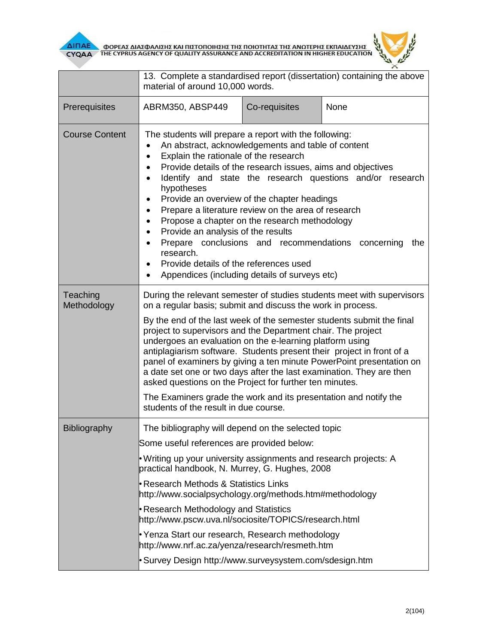

|                         | 13. Complete a standardised report (dissertation) containing the above<br>material of around 10,000 words.                                                                                                                                                                                                                                                                                                                                                                                                                                                                                                                                                                                                                                      |               |      |  |  |  |
|-------------------------|-------------------------------------------------------------------------------------------------------------------------------------------------------------------------------------------------------------------------------------------------------------------------------------------------------------------------------------------------------------------------------------------------------------------------------------------------------------------------------------------------------------------------------------------------------------------------------------------------------------------------------------------------------------------------------------------------------------------------------------------------|---------------|------|--|--|--|
| Prerequisites           | ABRM350, ABSP449                                                                                                                                                                                                                                                                                                                                                                                                                                                                                                                                                                                                                                                                                                                                | Co-requisites | None |  |  |  |
| <b>Course Content</b>   | The students will prepare a report with the following:<br>An abstract, acknowledgements and table of content<br>Explain the rationale of the research<br>$\bullet$<br>Provide details of the research issues, aims and objectives<br>$\bullet$<br>Identify and state the research questions and/or research<br>$\bullet$<br>hypotheses<br>Provide an overview of the chapter headings<br>Prepare a literature review on the area of research<br>$\bullet$<br>Propose a chapter on the research methodology<br>$\bullet$<br>Provide an analysis of the results<br>$\bullet$<br>Prepare conclusions and recommendations concerning<br>the<br>research.<br>Provide details of the references used<br>Appendices (including details of surveys etc) |               |      |  |  |  |
| Teaching<br>Methodology | During the relevant semester of studies students meet with supervisors<br>on a regular basis; submit and discuss the work in process.<br>By the end of the last week of the semester students submit the final<br>project to supervisors and the Department chair. The project<br>undergoes an evaluation on the e-learning platform using<br>antiplagiarism software. Students present their project in front of a<br>panel of examiners by giving a ten minute PowerPoint presentation on<br>a date set one or two days after the last examination. They are then<br>asked questions on the Project for further ten minutes.<br>The Examiners grade the work and its presentation and notify the<br>students of the result in due course.     |               |      |  |  |  |
| Bibliography            | The bibliography will depend on the selected topic<br>Some useful references are provided below:<br>• Writing up your university assignments and research projects: A<br>practical handbook, N. Murrey, G. Hughes, 2008<br>Research Methods & Statistics Links<br>http://www.socialpsychology.org/methods.htm#methodology<br>Research Methodology and Statistics<br>http://www.pscw.uva.nl/sociosite/TOPICS/research.html<br>Yenza Start our research, Research methodology<br>http://www.nrf.ac.za/yenza/research/resmeth.htm<br>• Survey Design http://www.surveysystem.com/sdesign.htm                                                                                                                                                       |               |      |  |  |  |

ó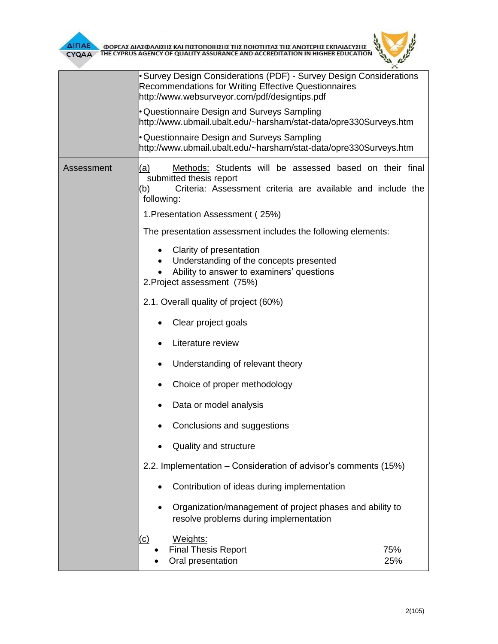

|            | Survey Design Considerations (PDF) - Survey Design Considerations<br>Recommendations for Writing Effective Questionnaires<br>http://www.websurveyor.com/pdf/designtips.pdf    |  |  |  |  |  |
|------------|-------------------------------------------------------------------------------------------------------------------------------------------------------------------------------|--|--|--|--|--|
|            | • Questionnaire Design and Surveys Sampling<br>http://www.ubmail.ubalt.edu/~harsham/stat-data/opre330Surveys.htm                                                              |  |  |  |  |  |
|            | • Questionnaire Design and Surveys Sampling<br>http://www.ubmail.ubalt.edu/~harsham/stat-data/opre330Surveys.htm                                                              |  |  |  |  |  |
| Assessment | Methods: Students will be assessed based on their final<br>(a)<br>submitted thesis report<br>Criteria: Assessment criteria are available and include the<br>(b)<br>following: |  |  |  |  |  |
|            | 1. Presentation Assessment (25%)                                                                                                                                              |  |  |  |  |  |
|            | The presentation assessment includes the following elements:                                                                                                                  |  |  |  |  |  |
|            | Clarity of presentation<br>Understanding of the concepts presented<br>Ability to answer to examiners' questions<br>2. Project assessment (75%)                                |  |  |  |  |  |
|            | 2.1. Overall quality of project (60%)                                                                                                                                         |  |  |  |  |  |
|            | Clear project goals<br>٠                                                                                                                                                      |  |  |  |  |  |
|            | Literature review                                                                                                                                                             |  |  |  |  |  |
|            | Understanding of relevant theory<br>٠                                                                                                                                         |  |  |  |  |  |
|            | Choice of proper methodology                                                                                                                                                  |  |  |  |  |  |
|            | Data or model analysis<br>٠                                                                                                                                                   |  |  |  |  |  |
|            | Conclusions and suggestions                                                                                                                                                   |  |  |  |  |  |
|            | Quality and structure                                                                                                                                                         |  |  |  |  |  |
|            | 2.2. Implementation - Consideration of advisor's comments (15%)                                                                                                               |  |  |  |  |  |
|            | Contribution of ideas during implementation                                                                                                                                   |  |  |  |  |  |
|            | Organization/management of project phases and ability to<br>$\bullet$<br>resolve problems during implementation                                                               |  |  |  |  |  |
|            | Weights:<br>(c)<br><b>Final Thesis Report</b><br>75%<br>Oral presentation<br>25%                                                                                              |  |  |  |  |  |

 $\overline{u}$  $^{\times}$